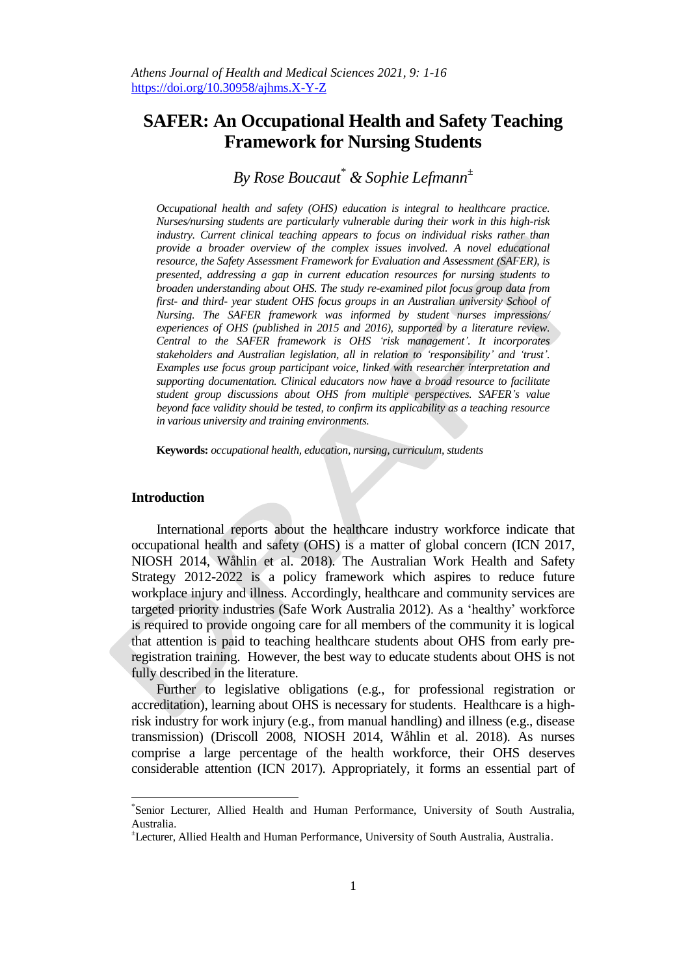# **SAFER: An Occupational Health and Safety Teaching Framework for Nursing Students**

# *By Rose Boucaut\* & Sophie Lefmann<sup>±</sup>*

*Occupational health and safety (OHS) education is integral to healthcare practice. Nurses/nursing students are particularly vulnerable during their work in this high-risk industry. Current clinical teaching appears to focus on individual risks rather than provide a broader overview of the complex issues involved. A novel educational resource, the Safety Assessment Framework for Evaluation and Assessment (SAFER), is presented, addressing a gap in current education resources for nursing students to broaden understanding about OHS. The study re-examined pilot focus group data from first- and third- year student OHS focus groups in an Australian university School of Nursing. The SAFER framework was informed by student nurses impressions/ experiences of OHS (published in 2015 and 2016), supported by a literature review. Central to the SAFER framework is OHS 'risk management'. It incorporates stakeholders and Australian legislation, all in relation to 'responsibility' and 'trust'. Examples use focus group participant voice, linked with researcher interpretation and supporting documentation. Clinical educators now have a broad resource to facilitate student group discussions about OHS from multiple perspectives. SAFER's value beyond face validity should be tested, to confirm its applicability as a teaching resource in various university and training environments.*

**Keywords:** *occupational health, education, nursing, curriculum, students*

### **Introduction**

 $\overline{\phantom{a}}$ 

International reports about the healthcare industry workforce indicate that occupational health and safety (OHS) is a matter of global concern (ICN 2017, NIOSH 2014, Wåhlin et al. 2018). The Australian Work Health and Safety Strategy 2012-2022 is a policy framework which aspires to reduce future workplace injury and illness. Accordingly, healthcare and community services are targeted priority industries (Safe Work Australia 2012). As a 'healthy' workforce is required to provide ongoing care for all members of the community it is logical that attention is paid to teaching healthcare students about OHS from early preregistration training. However, the best way to educate students about OHS is not fully described in the literature.

Further to legislative obligations (e.g., for professional registration or accreditation), learning about OHS is necessary for students. Healthcare is a highrisk industry for work injury (e.g., from manual handling) and illness (e.g., disease transmission) (Driscoll 2008, NIOSH 2014, Wåhlin et al. 2018). As nurses comprise a large percentage of the health workforce, their OHS deserves considerable attention (ICN 2017). Appropriately, it forms an essential part of

<sup>\*</sup> Senior Lecturer, Allied Health and Human Performance, University of South Australia, Australia.

<sup>±</sup>Lecturer, Allied Health and Human Performance, University of South Australia, Australia.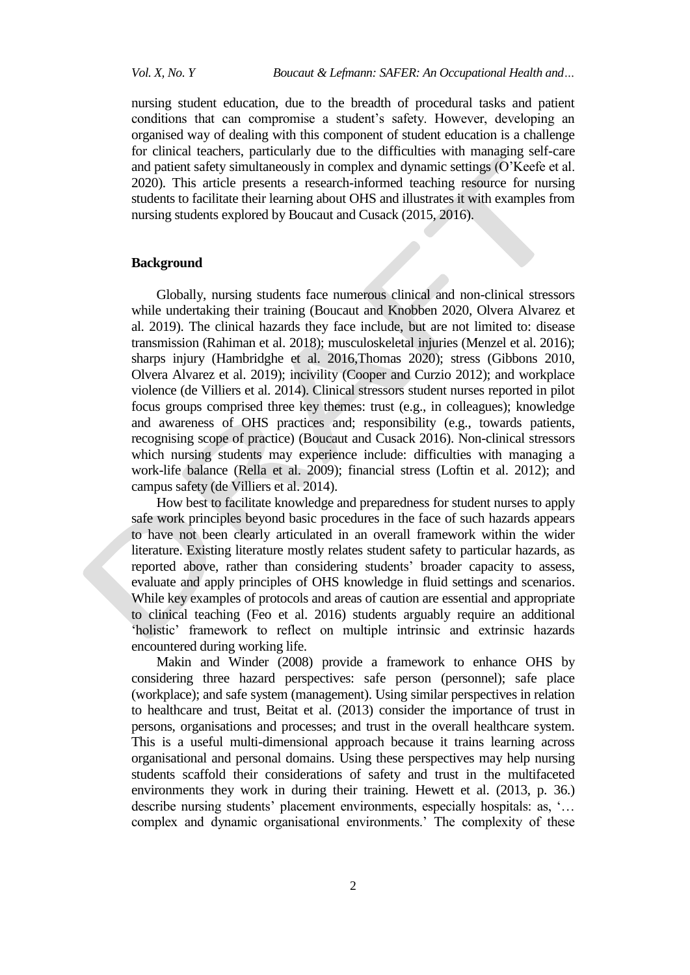nursing student education, due to the breadth of procedural tasks and patient conditions that can compromise a student's safety. However, developing an organised way of dealing with this component of student education is a challenge for clinical teachers, particularly due to the difficulties with managing self-care and patient safety simultaneously in complex and dynamic settings (O'Keefe et al. 2020). This article presents a research-informed teaching resource for nursing students to facilitate their learning about OHS and illustrates it with examples from nursing students explored by Boucaut and Cusack (2015, 2016).

# **Background**

Globally, nursing students face numerous clinical and non-clinical stressors while undertaking their training (Boucaut and Knobben 2020, Olvera Alvarez et al. 2019). The clinical hazards they face include, but are not limited to: disease transmission (Rahiman et al. 2018); musculoskeletal injuries (Menzel et al. 2016); sharps injury (Hambridghe et al. 2016,Thomas 2020); stress (Gibbons 2010, Olvera Alvarez et al. 2019); incivility (Cooper and Curzio 2012); and workplace violence (de Villiers et al. 2014). Clinical stressors student nurses reported in pilot focus groups comprised three key themes: trust (e.g., in colleagues); knowledge and awareness of OHS practices and; responsibility (e.g., towards patients, recognising scope of practice) (Boucaut and Cusack 2016). Non-clinical stressors which nursing students may experience include: difficulties with managing a work-life balance (Rella et al. 2009); financial stress (Loftin et al. 2012); and campus safety (de Villiers et al. 2014).

How best to facilitate knowledge and preparedness for student nurses to apply safe work principles beyond basic procedures in the face of such hazards appears to have not been clearly articulated in an overall framework within the wider literature. Existing literature mostly relates student safety to particular hazards, as reported above, rather than considering students' broader capacity to assess, evaluate and apply principles of OHS knowledge in fluid settings and scenarios. While key examples of protocols and areas of caution are essential and appropriate to clinical teaching (Feo et al. 2016) students arguably require an additional 'holistic' framework to reflect on multiple intrinsic and extrinsic hazards encountered during working life.

Makin and Winder (2008) provide a framework to enhance OHS by considering three hazard perspectives: safe person (personnel); safe place (workplace); and safe system (management). Using similar perspectives in relation to healthcare and trust, Beitat et al. (2013) consider the importance of trust in persons, organisations and processes; and trust in the overall healthcare system. This is a useful multi-dimensional approach because it trains learning across organisational and personal domains. Using these perspectives may help nursing students scaffold their considerations of safety and trust in the multifaceted environments they work in during their training. Hewett et al. (2013, p. 36.) describe nursing students' placement environments, especially hospitals: as, '… complex and dynamic organisational environments.' The complexity of these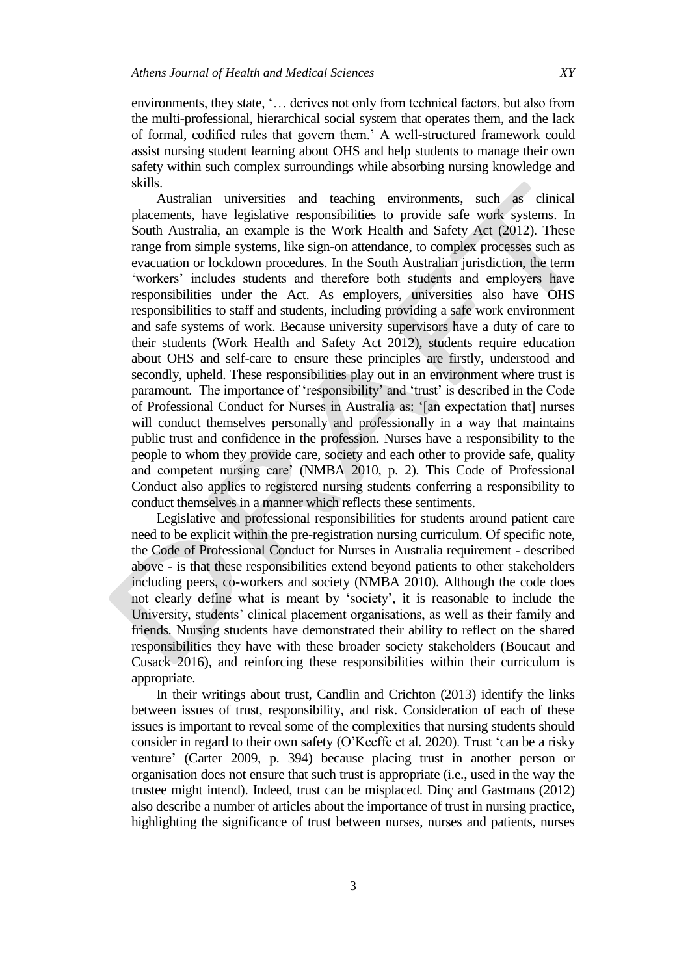environments, they state, '… derives not only from technical factors, but also from the multi-professional, hierarchical social system that operates them, and the lack of formal, codified rules that govern them.' A well-structured framework could assist nursing student learning about OHS and help students to manage their own safety within such complex surroundings while absorbing nursing knowledge and skills.

Australian universities and teaching environments, such as clinical placements, have legislative responsibilities to provide safe work systems. In South Australia, an example is the Work Health and Safety Act (2012). These range from simple systems, like sign-on attendance, to complex processes such as evacuation or lockdown procedures. In the South Australian jurisdiction, the term 'workers' includes students and therefore both students and employers have responsibilities under the Act. As employers, universities also have OHS responsibilities to staff and students, including providing a safe work environment and safe systems of work. Because university supervisors have a duty of care to their students (Work Health and Safety Act 2012), students require education about OHS and self-care to ensure these principles are firstly, understood and secondly, upheld. These responsibilities play out in an environment where trust is paramount. The importance of 'responsibility' and 'trust' is described in the Code of Professional Conduct for Nurses in Australia as: '[an expectation that] nurses will conduct themselves personally and professionally in a way that maintains public trust and confidence in the profession. Nurses have a responsibility to the people to whom they provide care, society and each other to provide safe, quality and competent nursing care' (NMBA 2010, p. 2). This Code of Professional Conduct also applies to registered nursing students conferring a responsibility to conduct themselves in a manner which reflects these sentiments.

Legislative and professional responsibilities for students around patient care need to be explicit within the pre-registration nursing curriculum. Of specific note, the Code of Professional Conduct for Nurses in Australia requirement - described above - is that these responsibilities extend beyond patients to other stakeholders including peers, co-workers and society (NMBA 2010). Although the code does not clearly define what is meant by 'society', it is reasonable to include the University, students' clinical placement organisations, as well as their family and friends. Nursing students have demonstrated their ability to reflect on the shared responsibilities they have with these broader society stakeholders (Boucaut and Cusack 2016), and reinforcing these responsibilities within their curriculum is appropriate.

In their writings about trust, Candlin and Crichton (2013) identify the links between issues of trust, responsibility, and risk. Consideration of each of these issues is important to reveal some of the complexities that nursing students should consider in regard to their own safety (O'Keeffe et al. 2020). Trust 'can be a risky venture' (Carter 2009, p. 394) because placing trust in another person or organisation does not ensure that such trust is appropriate (i.e., used in the way the trustee might intend). Indeed, trust can be misplaced. Dinç and Gastmans (2012) also describe a number of articles about the importance of trust in nursing practice, highlighting the significance of trust between nurses, nurses and patients, nurses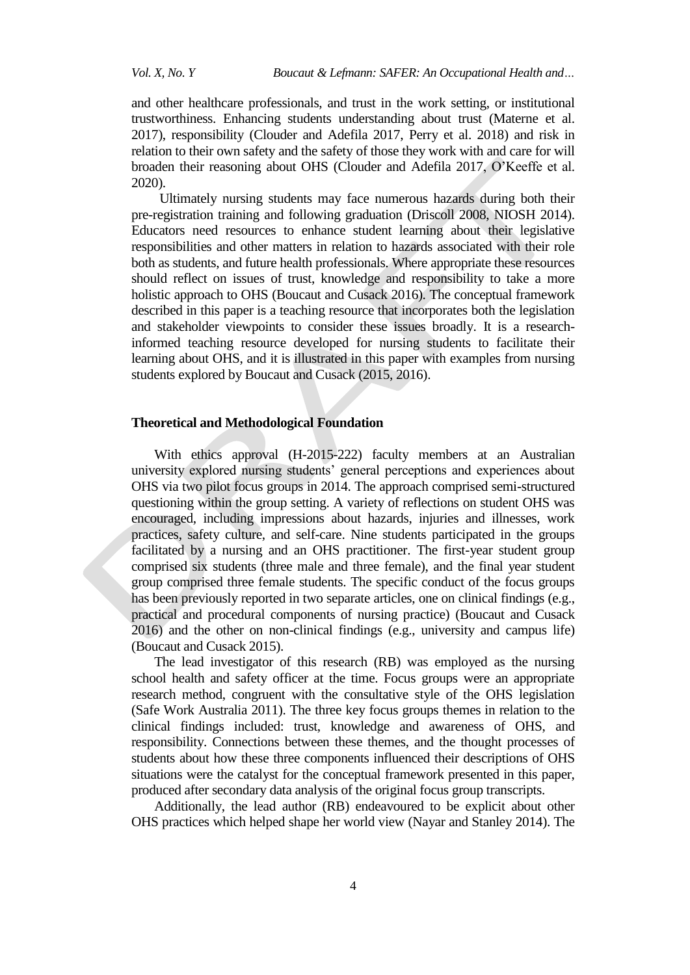and other healthcare professionals, and trust in the work setting, or institutional trustworthiness. Enhancing students understanding about trust (Materne et al. 2017), responsibility [\(Clouder and Adefila 2017,](https://www.sciencedirect.com/science/article/pii/S0003687018307555#bbib10) Perry et al. 2018) and risk in relation to their own safety and the safety of those they work with and care for will broaden their reasoning about OHS [\(Clouder and Adefila 2017,](https://www.sciencedirect.com/science/article/pii/S0003687018307555#bbib10) O'Keeffe et al. 2020).

Ultimately nursing students may face numerous hazards during both their pre-registration training and following graduation (Driscoll 2008, NIOSH 2014). Educators need resources to enhance student learning about their legislative responsibilities and other matters in relation to hazards associated with their role both as students, and future health professionals. Where appropriate these resources should reflect on issues of trust, knowledge and responsibility to take a more holistic approach to OHS (Boucaut and Cusack 2016). The conceptual framework described in this paper is a teaching resource that incorporates both the legislation and stakeholder viewpoints to consider these issues broadly. It is a researchinformed teaching resource developed for nursing students to facilitate their learning about OHS, and it is illustrated in this paper with examples from nursing students explored by Boucaut and Cusack (2015, 2016).

### **Theoretical and Methodological Foundation**

With ethics approval (H-2015-222) faculty members at an Australian university explored nursing students' general perceptions and experiences about OHS via two pilot focus groups in 2014. The approach comprised semi-structured questioning within the group setting. A variety of reflections on student OHS was encouraged, including impressions about hazards, injuries and illnesses, work practices, safety culture, and self-care. Nine students participated in the groups facilitated by a nursing and an OHS practitioner. The first-year student group comprised six students (three male and three female), and the final year student group comprised three female students. The specific conduct of the focus groups has been previously reported in two separate articles, one on clinical findings (e.g., practical and procedural components of nursing practice) (Boucaut and Cusack 2016) and the other on non-clinical findings (e.g., university and campus life) (Boucaut and Cusack 2015).

The lead investigator of this research (RB) was employed as the nursing school health and safety officer at the time. Focus groups were an appropriate research method, congruent with the consultative style of the OHS legislation (Safe Work Australia 2011). The three key focus groups themes in relation to the clinical findings included: trust, knowledge and awareness of OHS, and responsibility. Connections between these themes, and the thought processes of students about how these three components influenced their descriptions of OHS situations were the catalyst for the conceptual framework presented in this paper, produced after secondary data analysis of the original focus group transcripts.

Additionally, the lead author (RB) endeavoured to be explicit about other OHS practices which helped shape her world view (Nayar and Stanley 2014). The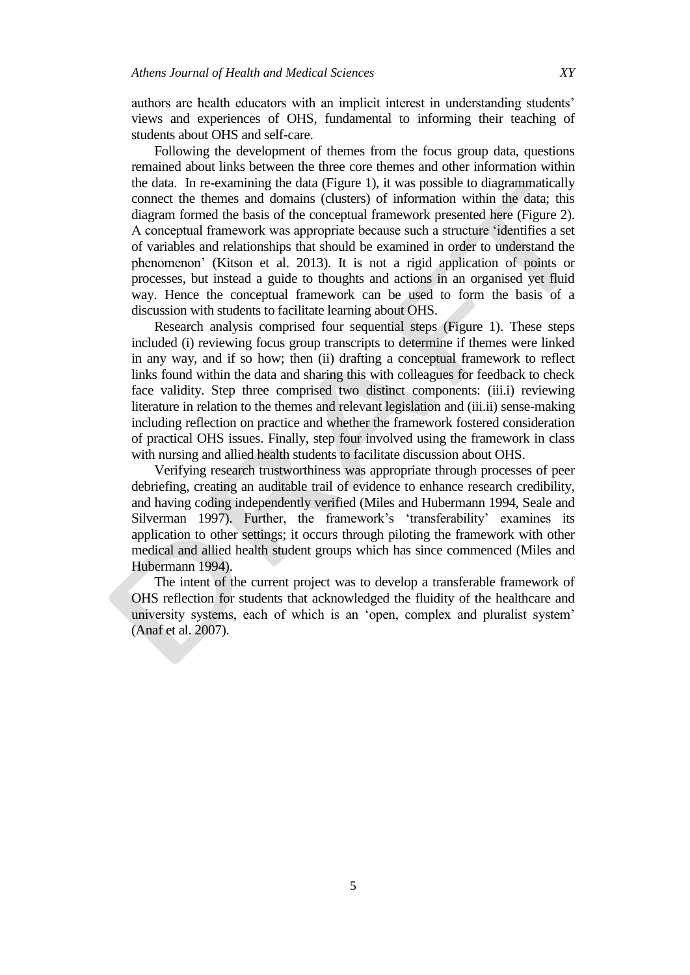authors are health educators with an implicit interest in understanding students' views and experiences of OHS, fundamental to informing their teaching of students about OHS and self-care.

Following the development of themes from the focus group data, questions remained about links between the three core themes and other information within the data. In re-examining the data (Figure 1), it was possible to diagrammatically connect the themes and domains (clusters) of information within the data; this diagram formed the basis of the conceptual framework presented here (Figure 2). A conceptual framework was appropriate because such a structure 'identifies a set of variables and relationships that should be examined in order to understand the phenomenon' (Kitson et al. 2013). It is not a rigid application of points or processes, but instead a guide to thoughts and actions in an organised yet fluid way. Hence the conceptual framework can be used to form the basis of a discussion with students to facilitate learning about OHS.

Research analysis comprised four sequential steps (Figure 1). These steps included (i) reviewing focus group transcripts to determine if themes were linked in any way, and if so how; then (ii) drafting a conceptual framework to reflect links found within the data and sharing this with colleagues for feedback to check face validity. Step three comprised two distinct components: (iii.i) reviewing literature in relation to the themes and relevant legislation and (iii.ii) sense-making including reflection on practice and whether the framework fostered consideration of practical OHS issues. Finally, step four involved using the framework in class with nursing and allied health students to facilitate discussion about OHS.

Verifying research trustworthiness was appropriate through processes of peer debriefing, creating an auditable trail of evidence to enhance research credibility, and having coding independently verified (Miles and Hubermann 1994, Seale and Silverman 1997). Further, the framework's 'transferability' examines its application to other settings; it occurs through piloting the framework with other medical and allied health student groups which has since commenced (Miles and Hubermann 1994).

The intent of the current project was to develop a transferable framework of OHS reflection for students that acknowledged the fluidity of the healthcare and university systems, each of which is an 'open, complex and pluralist system' (Anaf et al. 2007).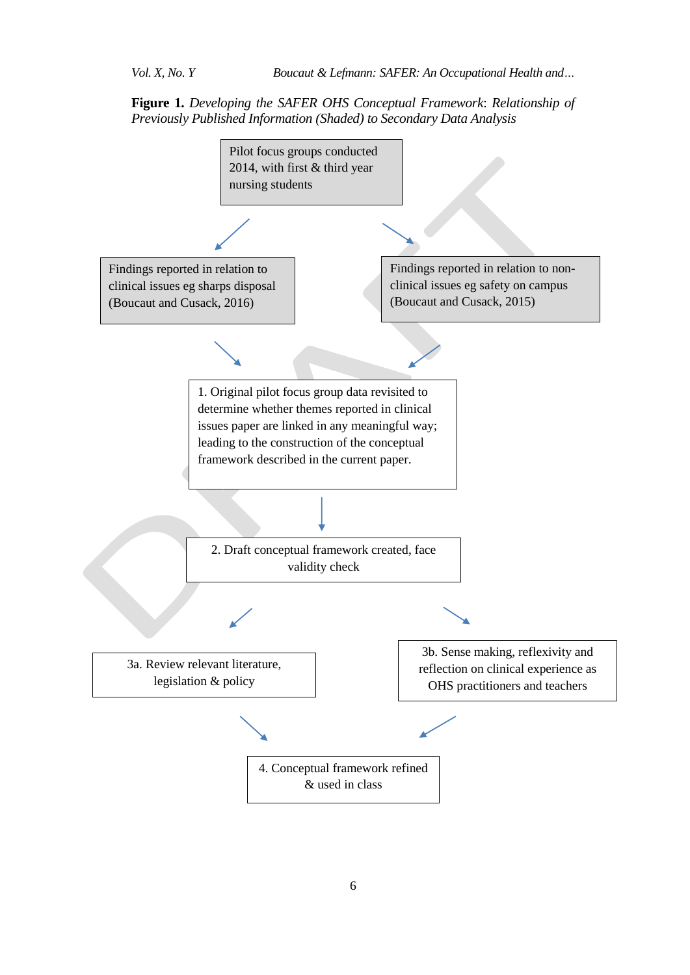**Figure 1.** *Developing the SAFER OHS Conceptual Framework*: *Relationship of Previously Published Information (Shaded) to Secondary Data Analysis* 

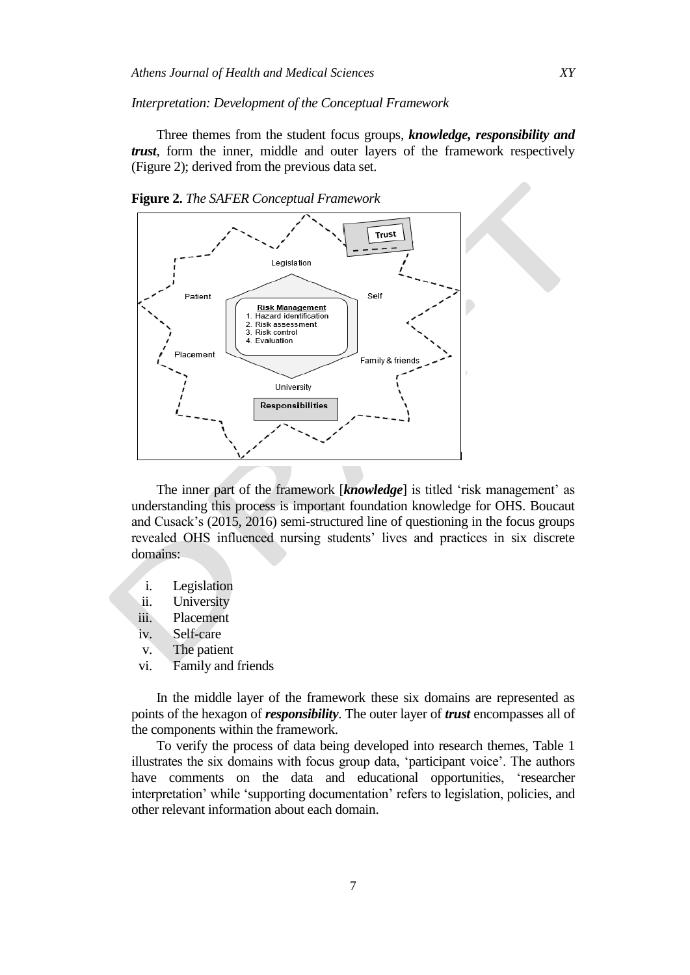#### *Interpretation: Development of the Conceptual Framework*

Three themes from the student focus groups, *knowledge, responsibility and trust*, form the inner, middle and outer layers of the framework respectively (Figure 2); derived from the previous data set.



**Figure 2.** *The SAFER Conceptual Framework*

The inner part of the framework [*knowledge*] is titled 'risk management' as understanding this process is important foundation knowledge for OHS. Boucaut and Cusack's (2015, 2016) semi-structured line of questioning in the focus groups revealed OHS influenced nursing students' lives and practices in six discrete domains:

- i. Legislation
- ii. University
- iii. Placement
- iv. Self-care
- v. The patient
- vi. Family and friends

In the middle layer of the framework these six domains are represented as points of the hexagon of *responsibility*. The outer layer of *trust* encompasses all of the components within the framework.

To verify the process of data being developed into research themes, Table 1 illustrates the six domains with focus group data, 'participant voice'. The authors have comments on the data and educational opportunities, 'researcher interpretation' while 'supporting documentation' refers to legislation, policies, and other relevant information about each domain.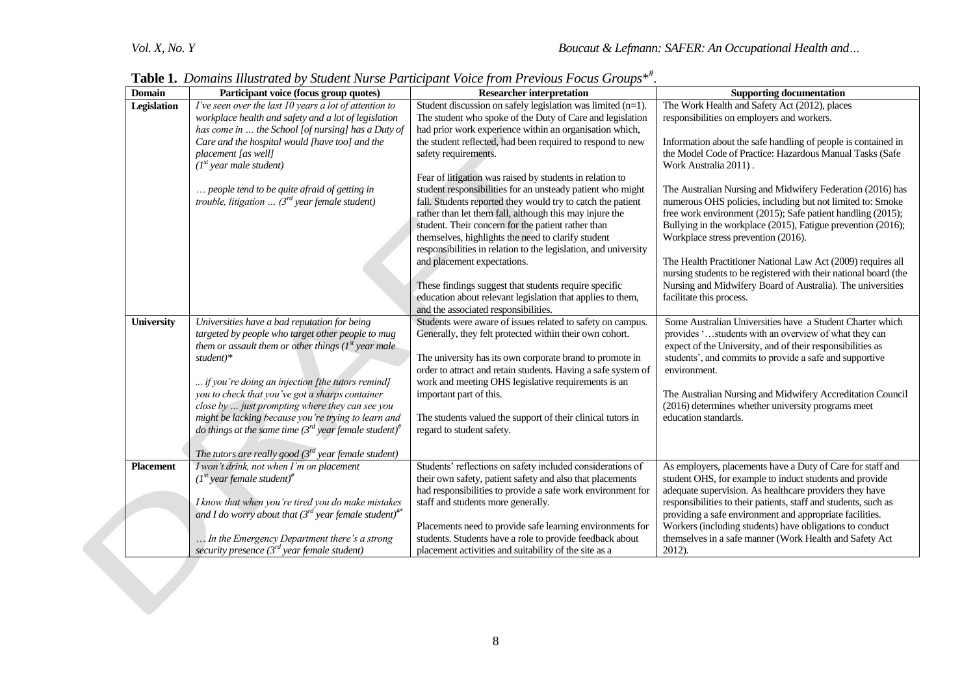| <b>Domain</b>     | Participant voice (focus group quotes)                                                             | <b>Labic 1.</b> Domains huistralea by Suident Ivarse Larticipant Voice from Lrevious Pocus Groups<br><b>Researcher interpretation</b> | <b>Supporting documentation</b>                                                                                                  |
|-------------------|----------------------------------------------------------------------------------------------------|---------------------------------------------------------------------------------------------------------------------------------------|----------------------------------------------------------------------------------------------------------------------------------|
| Legislation       | I've seen over the last 10 years a lot of attention to                                             | Student discussion on safely legislation was limited (n=1).                                                                           | The Work Health and Safety Act (2012), places                                                                                    |
|                   | workplace health and safety and a lot of legislation                                               | The student who spoke of the Duty of Care and legislation                                                                             | responsibilities on employers and workers.                                                                                       |
|                   | has come in  the School [of nursing] has a Duty of                                                 | had prior work experience within an organisation which,                                                                               |                                                                                                                                  |
|                   | Care and the hospital would [have too] and the                                                     | the student reflected, had been required to respond to new                                                                            | Information about the safe handling of people is contained in                                                                    |
|                   | placement [as well]                                                                                | safety requirements.                                                                                                                  | the Model Code of Practice: Hazardous Manual Tasks (Safe                                                                         |
|                   | $(Ist$ year male student)                                                                          |                                                                                                                                       | Work Australia 2011).                                                                                                            |
|                   |                                                                                                    | Fear of litigation was raised by students in relation to                                                                              |                                                                                                                                  |
|                   | people tend to be quite afraid of getting in                                                       | student responsibilities for an unsteady patient who might                                                                            | The Australian Nursing and Midwifery Federation (2016) has                                                                       |
|                   | trouble, litigation $\ldots$ (3 <sup>rd</sup> year female student)                                 | fall. Students reported they would try to catch the patient                                                                           | numerous OHS policies, including but not limited to: Smoke                                                                       |
|                   |                                                                                                    | rather than let them fall, although this may injure the                                                                               | free work environment (2015); Safe patient handling (2015);                                                                      |
|                   |                                                                                                    | student. Their concern for the patient rather than                                                                                    | Bullying in the workplace (2015), Fatigue prevention (2016);                                                                     |
|                   |                                                                                                    | themselves, highlights the need to clarify student                                                                                    | Workplace stress prevention (2016).                                                                                              |
|                   |                                                                                                    | responsibilities in relation to the legislation, and university                                                                       |                                                                                                                                  |
|                   |                                                                                                    | and placement expectations.                                                                                                           | The Health Practitioner National Law Act (2009) requires all<br>nursing students to be registered with their national board (the |
|                   |                                                                                                    | These findings suggest that students require specific                                                                                 | Nursing and Midwifery Board of Australia). The universities                                                                      |
|                   |                                                                                                    | education about relevant legislation that applies to them,                                                                            | facilitate this process.                                                                                                         |
|                   |                                                                                                    | and the associated responsibilities.                                                                                                  |                                                                                                                                  |
| <b>University</b> | Universities have a bad reputation for being                                                       | Students were aware of issues related to safety on campus.                                                                            | Some Australian Universities have a Student Charter which                                                                        |
|                   | targeted by people who target other people to mug                                                  | Generally, they felt protected within their own cohort.                                                                               | provides 'students with an overview of what they can                                                                             |
|                   | them or assault them or other things $(I^{st})$ year male                                          |                                                                                                                                       | expect of the University, and of their responsibilities as                                                                       |
|                   | $student)*$                                                                                        | The university has its own corporate brand to promote in                                                                              | students', and commits to provide a safe and supportive                                                                          |
|                   |                                                                                                    | order to attract and retain students. Having a safe system of                                                                         | environment.                                                                                                                     |
|                   | if you're doing an injection [the tutors remind]                                                   | work and meeting OHS legislative requirements is an                                                                                   |                                                                                                                                  |
|                   | you to check that you've got a sharps container                                                    | important part of this.                                                                                                               | The Australian Nursing and Midwifery Accreditation Council                                                                       |
|                   | close by  just prompting where they can see you                                                    |                                                                                                                                       | (2016) determines whether university programs meet                                                                               |
|                   | might be lacking because you're trying to learn and                                                | The students valued the support of their clinical tutors in                                                                           | education standards.                                                                                                             |
|                   | do things at the same time ( $3^{rd}$ year female student) <sup>#</sup>                            | regard to student safety.                                                                                                             |                                                                                                                                  |
|                   |                                                                                                    |                                                                                                                                       |                                                                                                                                  |
| Placement         | The tutors are really good $(3rd$ year female student)<br>I won't drink, not when I'm on placement | Students' reflections on safety included considerations of                                                                            |                                                                                                                                  |
|                   | $(Ist$ year female student) <sup>#</sup>                                                           | their own safety, patient safety and also that placements                                                                             | As employers, placements have a Duty of Care for staff and<br>student OHS, for example to induct students and provide            |
|                   |                                                                                                    | had responsibilities to provide a safe work environment for                                                                           | adequate supervision. As healthcare providers they have                                                                          |
|                   | I know that when you're tired you do make mistakes                                                 | staff and students more generally.                                                                                                    | responsibilities to their patients, staff and students, such as                                                                  |
|                   | and I do worry about that $(3^{rd})$ year female student) <sup>#*</sup>                            |                                                                                                                                       | providing a safe environment and appropriate facilities.                                                                         |
|                   |                                                                                                    | Placements need to provide safe learning environments for                                                                             | Workers (including students) have obligations to conduct                                                                         |
|                   | In the Emergency Department there's a strong                                                       | students. Students have a role to provide feedback about                                                                              | themselves in a safe manner (Work Health and Safety Act                                                                          |
|                   | security presence $(3^{rd}$ year female student)                                                   | placement activities and suitability of the site as a                                                                                 | 2012).                                                                                                                           |
|                   |                                                                                                    |                                                                                                                                       |                                                                                                                                  |

**Table 1.** *Domains Illustrated by Student Nurse Participant Voice from Previous Focus Groups*\* # .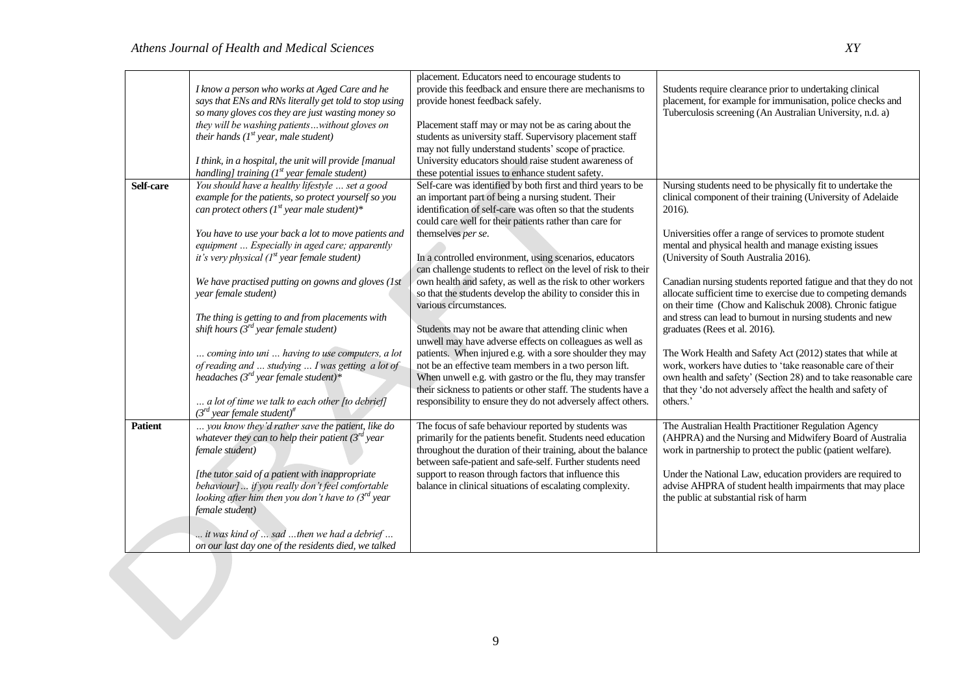|                | I know a person who works at Aged Care and he<br>says that ENs and RNs literally get told to stop using                                                                                                                                           | placement. Educators need to encourage students to<br>provide this feedback and ensure there are mechanisms to<br>provide honest feedback safely.                                                                                                                                                                    | Students require clearance prior to undertaking clinical<br>placement, for example for immunisation, police checks and                                                                                                                                                  |
|----------------|---------------------------------------------------------------------------------------------------------------------------------------------------------------------------------------------------------------------------------------------------|----------------------------------------------------------------------------------------------------------------------------------------------------------------------------------------------------------------------------------------------------------------------------------------------------------------------|-------------------------------------------------------------------------------------------------------------------------------------------------------------------------------------------------------------------------------------------------------------------------|
|                | so many gloves cos they are just wasting money so<br>they will be washing patientswithout gloves on<br>their hands $(I^{st}$ year, male student)                                                                                                  | Placement staff may or may not be as caring about the<br>students as university staff. Supervisory placement staff<br>may not fully understand students' scope of practice.                                                                                                                                          | Tuberculosis screening (An Australian University, n.d. a)                                                                                                                                                                                                               |
|                | I think, in a hospital, the unit will provide [manual<br>handling] training $(Ist$ year female student)                                                                                                                                           | University educators should raise student awareness of<br>these potential issues to enhance student safety.                                                                                                                                                                                                          |                                                                                                                                                                                                                                                                         |
| Self-care      | You should have a healthy lifestyle  set a good<br>example for the patients, so protect yourself so you<br>can protect others ( $I^{st}$ year male student)*                                                                                      | Self-care was identified by both first and third years to be<br>an important part of being a nursing student. Their<br>identification of self-care was often so that the students<br>could care well for their patients rather than care for                                                                         | Nursing students need to be physically fit to undertake the<br>clinical component of their training (University of Adelaide<br>2016).                                                                                                                                   |
|                | You have to use your back a lot to move patients and<br>equipment  Especially in aged care; apparently<br>it's very physical $(Ist$ year female student)                                                                                          | themselves per se.<br>In a controlled environment, using scenarios, educators<br>can challenge students to reflect on the level of risk to their                                                                                                                                                                     | Universities offer a range of services to promote student<br>mental and physical health and manage existing issues<br>(University of South Australia 2016).                                                                                                             |
|                | We have practised putting on gowns and gloves (1st<br>year female student)                                                                                                                                                                        | own health and safety, as well as the risk to other workers<br>so that the students develop the ability to consider this in<br>various circumstances.                                                                                                                                                                | Canadian nursing students reported fatigue and that they do not<br>allocate sufficient time to exercise due to competing demands<br>on their time (Chow and Kalischuk 2008). Chronic fatigue                                                                            |
|                | The thing is getting to and from placements with<br>shift hours $(3^{rd}$ year female student)                                                                                                                                                    | Students may not be aware that attending clinic when<br>unwell may have adverse effects on colleagues as well as                                                                                                                                                                                                     | and stress can lead to burnout in nursing students and new<br>graduates (Rees et al. 2016).                                                                                                                                                                             |
|                | coming into uni  having to use computers, a lot<br>of reading and  studying  I was getting a lot of<br>headaches ( $3^{rd}$ year female student)*<br>a lot of time we talk to each other [to debrief]<br>$(3rd$ year female student) <sup>#</sup> | patients. When injured e.g. with a sore shoulder they may<br>not be an effective team members in a two person lift.<br>When unwell e.g. with gastro or the flu, they may transfer<br>their sickness to patients or other staff. The students have a<br>responsibility to ensure they do not adversely affect others. | The Work Health and Safety Act (2012) states that while at<br>work, workers have duties to 'take reasonable care of their<br>own health and safety' (Section 28) and to take reasonable care<br>that they 'do not adversely affect the health and safety of<br>others.' |
| <b>Patient</b> | you know they'd rather save the patient, like do<br>whatever they can to help their patient $(3rd$ year<br>female student)                                                                                                                        | The focus of safe behaviour reported by students was<br>primarily for the patients benefit. Students need education<br>throughout the duration of their training, about the balance<br>between safe-patient and safe-self. Further students need                                                                     | The Australian Health Practitioner Regulation Agency<br>(AHPRA) and the Nursing and Midwifery Board of Australia<br>work in partnership to protect the public (patient welfare).                                                                                        |
|                | [the tutor said of a patient with inappropriate<br>behaviour]  if you really don't feel comfortable<br>looking after him then you don't have to $3^{rd}$ year<br>female student)                                                                  | support to reason through factors that influence this<br>balance in clinical situations of escalating complexity.                                                                                                                                                                                                    | Under the National Law, education providers are required to<br>advise AHPRA of student health impairments that may place<br>the public at substantial risk of harm                                                                                                      |
|                | it was kind of  sad then we had a debrief<br>on our last day one of the residents died, we talked                                                                                                                                                 |                                                                                                                                                                                                                                                                                                                      |                                                                                                                                                                                                                                                                         |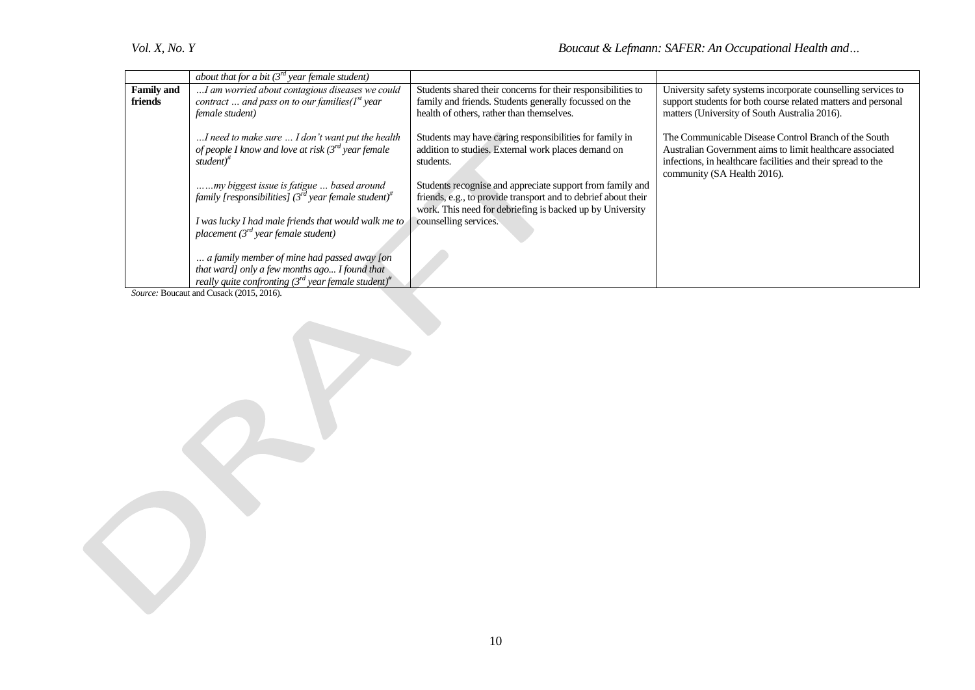|                   | about that for a bit $(3^{rd})$ year female student)                                                                                |                                                                                                                                                                                          |                                                                                                                                                                                                                  |
|-------------------|-------------------------------------------------------------------------------------------------------------------------------------|------------------------------------------------------------------------------------------------------------------------------------------------------------------------------------------|------------------------------------------------------------------------------------------------------------------------------------------------------------------------------------------------------------------|
| <b>Family and</b> | I am worried about contagious diseases we could                                                                                     | Students shared their concerns for their responsibilities to                                                                                                                             | University safety systems incorporate counselling services to                                                                                                                                                    |
| friends           | contract  and pass on to our families( $Ist$ year<br>female student)                                                                | family and friends. Students generally focussed on the<br>health of others, rather than themselves.                                                                                      | support students for both course related matters and personal<br>matters (University of South Australia 2016).                                                                                                   |
|                   | I need to make sure  I don't want put the health<br>of people I know and love at risk $3^{rd}$ year female<br>student) <sup>#</sup> | Students may have caring responsibilities for family in<br>addition to studies. External work places demand on<br>students.                                                              | The Communicable Disease Control Branch of the South<br>Australian Government aims to limit healthcare associated<br>infections, in healthcare facilities and their spread to the<br>community (SA Health 2016). |
|                   | my biggest issue is fatigue  based around<br>family [responsibilities] ( $3^{rd}$ year female student) <sup>#</sup>                 | Students recognise and appreciate support from family and<br>friends, e.g., to provide transport and to debrief about their<br>work. This need for debriefing is backed up by University |                                                                                                                                                                                                                  |
|                   | I was lucky I had male friends that would walk me to<br>placement $(3^{rd}$ year female student)                                    | counselling services.                                                                                                                                                                    |                                                                                                                                                                                                                  |
|                   | a family member of mine had passed away [on                                                                                         |                                                                                                                                                                                          |                                                                                                                                                                                                                  |
|                   | that ward] only a few months ago I found that<br>really quite confronting $3^{rd}$ year female student) <sup>#</sup>                |                                                                                                                                                                                          |                                                                                                                                                                                                                  |
|                   | $Squation$ Dougout and Cusage (2015, 2016)                                                                                          |                                                                                                                                                                                          |                                                                                                                                                                                                                  |

*Source:* Boucaut and Cusack (2015, 2016).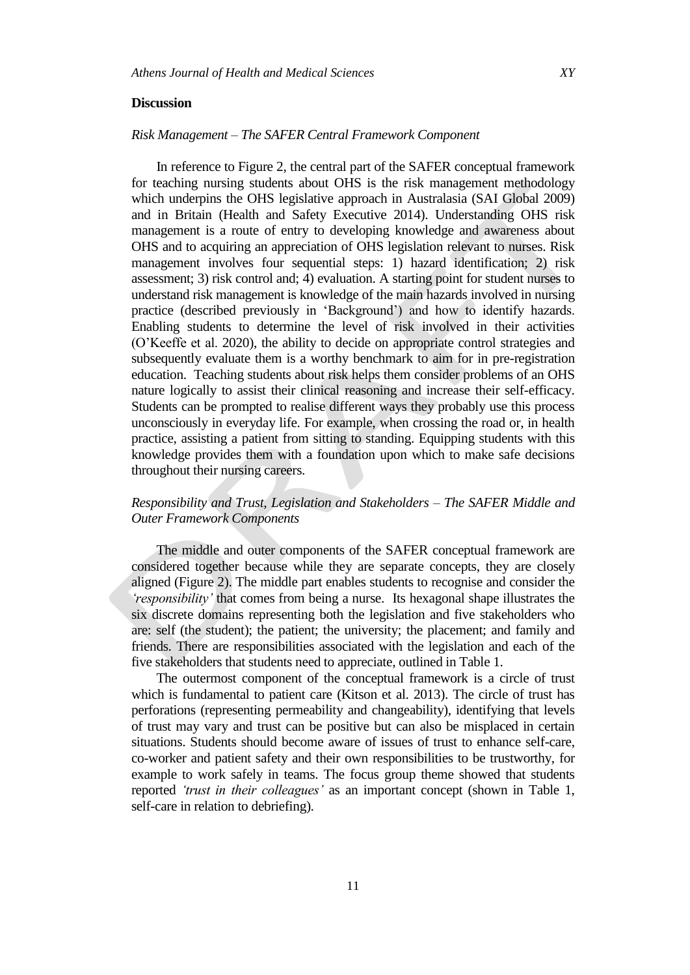#### **Discussion**

# *Risk Management – The SAFER Central Framework Component*

In reference to Figure 2, the central part of the SAFER conceptual framework for teaching nursing students about OHS is the risk management methodology which underpins the OHS legislative approach in Australasia (SAI Global 2009) and in Britain (Health and Safety Executive 2014). Understanding OHS risk management is a route of entry to developing knowledge and awareness about OHS and to acquiring an appreciation of OHS legislation relevant to nurses. Risk management involves four sequential steps: 1) hazard identification; 2) risk assessment; 3) risk control and; 4) evaluation. A starting point for student nurses to understand risk management is knowledge of the main hazards involved in nursing practice (described previously in 'Background') and how to identify hazards. Enabling students to determine the level of risk involved in their activities (O'Keeffe et al. 2020), the ability to decide on appropriate control strategies and subsequently evaluate them is a worthy benchmark to aim for in pre-registration education. Teaching students about risk helps them consider problems of an OHS nature logically to assist their clinical reasoning and increase their self-efficacy. Students can be prompted to realise different ways they probably use this process unconsciously in everyday life. For example, when crossing the road or, in health practice, assisting a patient from sitting to standing. Equipping students with this knowledge provides them with a foundation upon which to make safe decisions throughout their nursing careers.

# *Responsibility and Trust, Legislation and Stakeholders – The SAFER Middle and Outer Framework Components*

The middle and outer components of the SAFER conceptual framework are considered together because while they are separate concepts, they are closely aligned (Figure 2). The middle part enables students to recognise and consider the *'responsibility'* that comes from being a nurse. Its hexagonal shape illustrates the six discrete domains representing both the legislation and five stakeholders who are: self (the student); the patient; the university; the placement; and family and friends. There are responsibilities associated with the legislation and each of the five stakeholders that students need to appreciate, outlined in Table 1.

The outermost component of the conceptual framework is a circle of trust which is fundamental to patient care (Kitson et al. 2013). The circle of trust has perforations (representing permeability and changeability), identifying that levels of trust may vary and trust can be positive but can also be misplaced in certain situations. Students should become aware of issues of trust to enhance self-care, co-worker and patient safety and their own responsibilities to be trustworthy, for example to work safely in teams. The focus group theme showed that students reported *'trust in their colleagues'* as an important concept (shown in Table 1, self-care in relation to debriefing).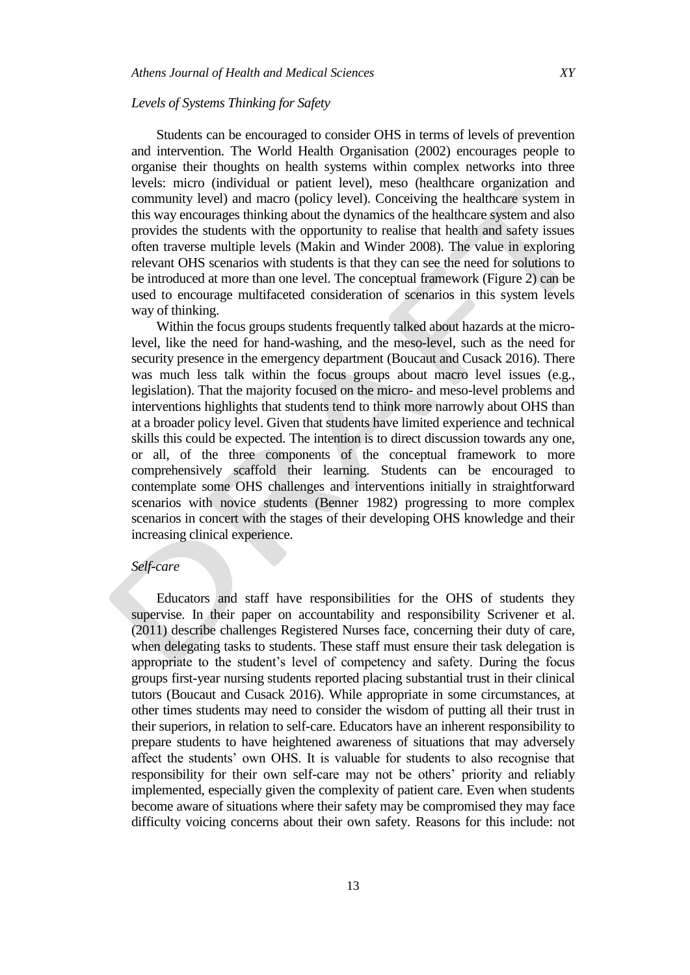### *Levels of Systems Thinking for Safety*

Students can be encouraged to consider OHS in terms of levels of prevention and intervention. The World Health Organisation (2002) encourages people to organise their thoughts on health systems within complex networks into three levels: micro (individual or patient level), meso (healthcare organization and community level) and macro (policy level). Conceiving the healthcare system in this way encourages thinking about the dynamics of the healthcare system and also provides the students with the opportunity to realise that health and safety issues often traverse multiple levels (Makin and Winder 2008). The value in exploring relevant OHS scenarios with students is that they can see the need for solutions to be introduced at more than one level. The conceptual framework (Figure 2) can be used to encourage multifaceted consideration of scenarios in this system levels way of thinking.

Within the focus groups students frequently talked about hazards at the microlevel, like the need for hand-washing, and the meso-level, such as the need for security presence in the emergency department (Boucaut and Cusack 2016). There was much less talk within the focus groups about macro level issues (e.g., legislation). That the majority focused on the micro- and meso-level problems and interventions highlights that students tend to think more narrowly about OHS than at a broader policy level. Given that students have limited experience and technical skills this could be expected. The intention is to direct discussion towards any one, or all, of the three components of the conceptual framework to more comprehensively scaffold their learning. Students can be encouraged to contemplate some OHS challenges and interventions initially in straightforward scenarios with novice students (Benner 1982) progressing to more complex scenarios in concert with the stages of their developing OHS knowledge and their increasing clinical experience.

# *Self-care*

Educators and staff have responsibilities for the OHS of students they supervise. In their paper on accountability and responsibility Scrivener et al. (2011) describe challenges Registered Nurses face, concerning their duty of care, when delegating tasks to students. These staff must ensure their task delegation is appropriate to the student's level of competency and safety. During the focus groups first-year nursing students reported placing substantial trust in their clinical tutors (Boucaut and Cusack 2016). While appropriate in some circumstances, at other times students may need to consider the wisdom of putting all their trust in their superiors, in relation to self-care. Educators have an inherent responsibility to prepare students to have heightened awareness of situations that may adversely affect the students' own OHS. It is valuable for students to also recognise that responsibility for their own self-care may not be others' priority and reliably implemented, especially given the complexity of patient care. Even when students become aware of situations where their safety may be compromised they may face difficulty voicing concerns about their own safety. Reasons for this include: not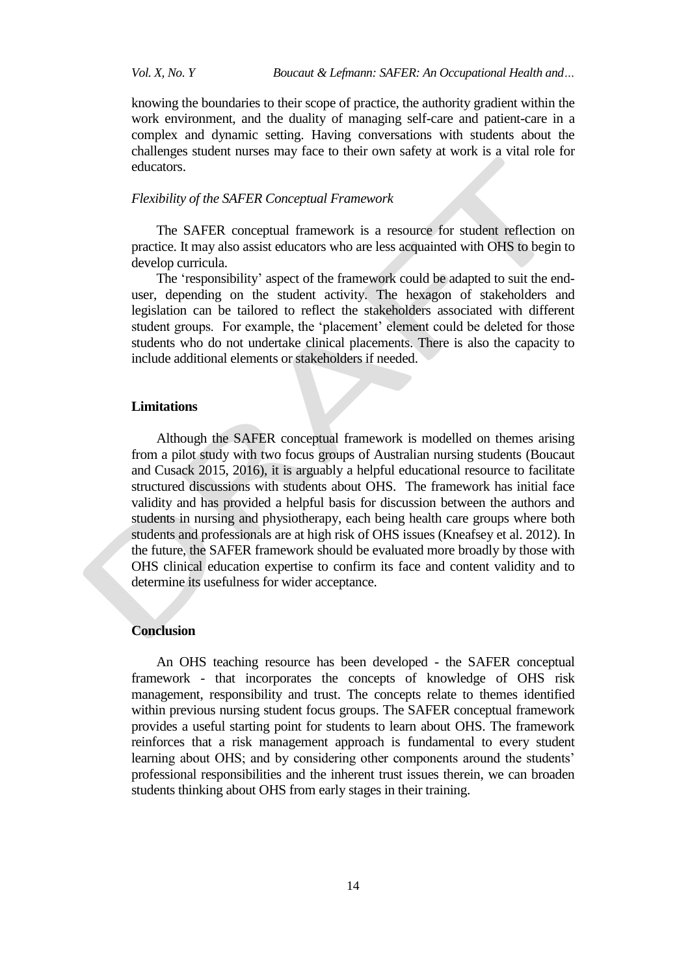knowing the boundaries to their scope of practice, the authority gradient within the work environment, and the duality of managing self-care and patient-care in a complex and dynamic setting. Having conversations with students about the challenges student nurses may face to their own safety at work is a vital role for educators.

### *Flexibility of the SAFER Conceptual Framework*

The SAFER conceptual framework is a resource for student reflection on practice. It may also assist educators who are less acquainted with OHS to begin to develop curricula.

The 'responsibility' aspect of the framework could be adapted to suit the enduser, depending on the student activity. The hexagon of stakeholders and legislation can be tailored to reflect the stakeholders associated with different student groups. For example, the 'placement' element could be deleted for those students who do not undertake clinical placements. There is also the capacity to include additional elements or stakeholders if needed.

### **Limitations**

Although the SAFER conceptual framework is modelled on themes arising from a pilot study with two focus groups of Australian nursing students (Boucaut and Cusack 2015, 2016), it is arguably a helpful educational resource to facilitate structured discussions with students about OHS. The framework has initial face validity and has provided a helpful basis for discussion between the authors and students in nursing and physiotherapy, each being health care groups where both students and professionals are at high risk of OHS issues (Kneafsey et al. 2012). In the future, the SAFER framework should be evaluated more broadly by those with OHS clinical education expertise to confirm its face and content validity and to determine its usefulness for wider acceptance.

## **Conclusion**

An OHS teaching resource has been developed - the SAFER conceptual framework - that incorporates the concepts of knowledge of OHS risk management, responsibility and trust. The concepts relate to themes identified within previous nursing student focus groups. The SAFER conceptual framework provides a useful starting point for students to learn about OHS. The framework reinforces that a risk management approach is fundamental to every student learning about OHS; and by considering other components around the students' professional responsibilities and the inherent trust issues therein, we can broaden students thinking about OHS from early stages in their training.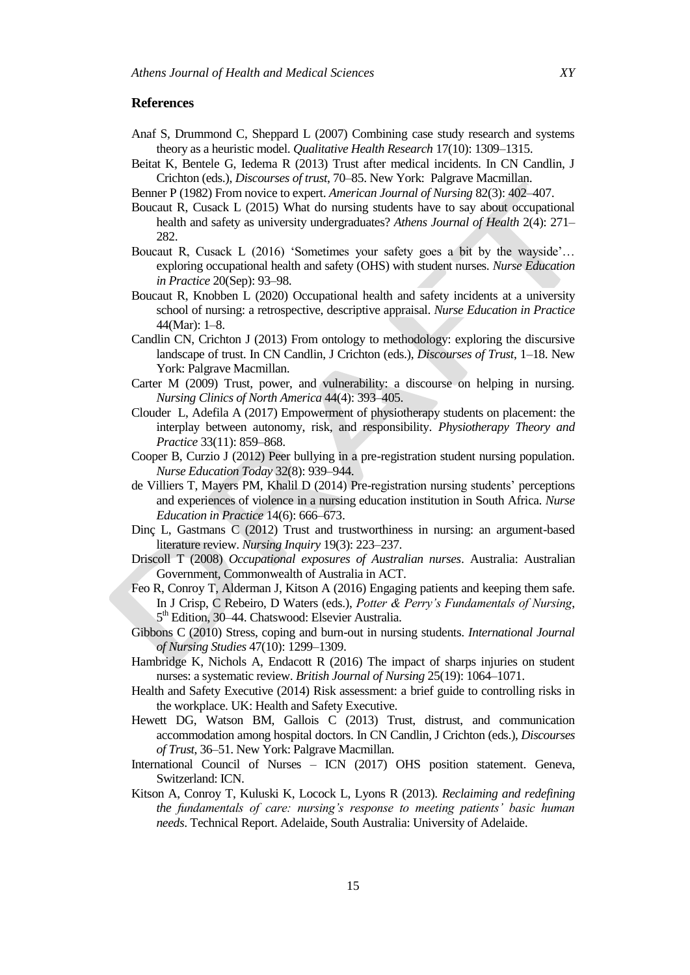# **References**

- Anaf S, Drummond C, Sheppard L (2007) Combining case study research and systems theory as a heuristic model. *Qualitative Health Research* 17(10): 1309–1315.
- Beitat K, Bentele G, Iedema R (2013) Trust after medical incidents. In CN Candlin, J Crichton (eds.), *Discourses of trust*, 70–85. New York: Palgrave Macmillan.
- Benner P (1982) From novice to expert. *American Journal of Nursing* 82(3): 402–407.
- Boucaut R, Cusack L (2015) What do nursing students have to say about occupational health and safety as university undergraduates? *Athens Journal of Health* 2(4): 271– 282.
- Boucaut R, Cusack L (2016) 'Sometimes your safety goes a bit by the wayside'… exploring occupational health and safety (OHS) with student nurses. *Nurse Education in Practice* 20(Sep): 93–98.
- Boucaut R, Knobben L (2020) [Occupational](http://researchoutputs.unisa.edu.au/11541.2/141901) health and safety incidents at a university school of nursing: a [retrospective,](http://researchoutputs.unisa.edu.au/11541.2/141901) descriptive appraisal. *Nurse Education in Practice* [44\(Mar\):](http://researchoutputs.unisa.edu.au/11541.2/141901) 1–8.
- Candlin CN, Crichton J (2013) From ontology to methodology: exploring the discursive landscape of trust. In CN Candlin, J Crichton (eds.), *Discourses of Trust*, 1–18. New York: Palgrave Macmillan.
- Carter M (2009) Trust, power, and vulnerability: a discourse on helping in nursing. *Nursing Clinics of North America* 44(4): 393–405.
- [Clouder L, Adefila A \(2017\)](https://www.sciencedirect.com/science/article/pii/S0003687018307555#bbib10) Empowerment of physiotherapy students on placement: the interplay between autonomy, risk, and responsibility. *Physiotherapy Theory and Practice* 33(11): 859–868.
- Cooper B, Curzio J (2012) Peer bullying in a pre-registration student nursing population. *Nurse Education Today* 32(8): 939–944.
- de Villiers T, Mayers PM, Khalil D (2014) Pre-registration nursing students' perceptions and experiences of violence in a nursing education institution in South Africa. *Nurse Education in Practice* 14(6): 666–673.
- Dinç L, Gastmans C (2012) Trust and trustworthiness in nursing: an argument-based literature review. *Nursing Inquiry* 19(3): 223–237.
- Driscoll T (2008) *Occupational exposures of Australian nurses*. Australia: Australian Government, Commonwealth of Australia in ACT.
- Feo R, Conroy T, Alderman J, Kitson A (2016) Engaging patients and keeping them safe. In J Crisp, C Rebeiro, D Waters (eds.), *Potter & Perry's Fundamentals of Nursing*, 5<sup>th</sup> Edition, 30-44. Chatswood: Elsevier Australia.
- Gibbons C (2010) Stress, coping and burn-out in nursing students. *International Journal of Nursing Studies* 47(10): 1299–1309.
- Hambridge K, Nichols A, Endacott R (2016) The impact of sharps injuries on student nurses: a systematic review. *British Journal of Nursing* 25(19): 1064–1071.
- Health and Safety Executive (2014) Risk assessment: a brief guide to controlling risks in the workplace. UK: Health and Safety Executive.
- Hewett DG, Watson BM, Gallois C (2013) Trust, distrust, and communication accommodation among hospital doctors. In CN Candlin, J Crichton (eds.), *Discourses of Trust*, 36–51. New York: Palgrave Macmillan.
- International Council of Nurses ICN (2017) OHS position statement. Geneva, Switzerland: ICN.
- Kitson A, Conroy T, Kuluski K, Locock L, Lyons R (2013). *Reclaiming and redefining the fundamentals of care: nursing's response to meeting patients' basic human needs*. Technical Report. Adelaide, South Australia: University of Adelaide.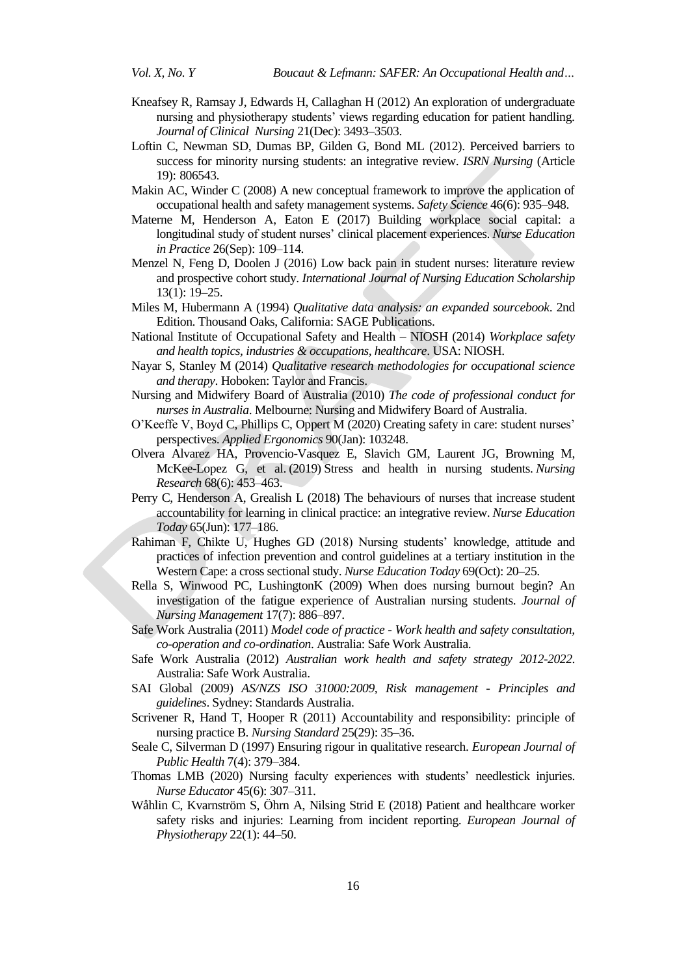- Kneafsey R, Ramsay J, Edwards H, Callaghan H (2012) An exploration of undergraduate nursing and physiotherapy students' views regarding education for patient handling. *Journal of Clinical Nursing* 21(Dec): 3493–3503.
- Loftin C, Newman SD, Dumas BP, Gilden G, Bond ML (2012). Perceived barriers to success for minority nursing students: an integrative review. *ISRN Nursing* (Article 19): 806543.
- Makin AC, Winder C (2008) A new conceptual framework to improve the application of occupational health and safety management systems. *Safety Science* 46(6): 935–948.
- Materne M, Henderson A, Eaton E (2017) Building workplace social capital: a longitudinal study of student nurses' clinical placement experiences. *Nurse Education in Practice* 26(Sep): 109–114.
- Menzel N, Feng D, Doolen J (2016) Low back pain in student nurses: literature review and prospective cohort study. *International Journal of Nursing Education Scholarship* 13(1): 19–25.
- Miles M, Hubermann A (1994) *Qualitative data analysis: an expanded sourcebook*. 2nd Edition. Thousand Oaks, California: SAGE Publications.
- National Institute of Occupational Safety and Health NIOSH (2014) *Workplace safety and health topics, industries & occupations, healthcare*. USA: NIOSH.
- Nayar S, Stanley M (2014) *Qualitative research methodologies for occupational science and therapy*. Hoboken: Taylor and Francis.
- Nursing and Midwifery Board of Australia (2010) *The code of professional conduct for nurses in Australia*. Melbourne: Nursing and Midwifery Board of Australia.
- O'Keeffe V, Boyd C, Phillips C, Oppert M (2020) Creating safety in care: student nurses' perspectives. *Applied Ergonomics* 90(Jan): 103248.
- Olvera Alvarez HA, Provencio-Vasquez E, Slavich GM, Laurent JG, Browning M, McKee-Lopez G, et al. (2019) Stress and health in nursing students. *Nursing Research* 68(6): 453–463.
- Perry C, Henderson A, Grealish L (2018) The behaviours of nurses that increase student accountability for learning in clinical practice: an integrative review. *Nurse Education Today* 65(Jun): 177–186.
- Rahiman F, Chikte U, Hughes GD (2018) Nursing students' knowledge, attitude and practices of infection prevention and control guidelines at a tertiary institution in the Western Cape: a cross sectional study. *Nurse Education Today* 69(Oct): 20–25.
- Rella S, Winwood PC, LushingtonK (2009) When does nursing burnout begin? An investigation of the fatigue experience of Australian nursing students. *Journal of Nursing Management* 17(7): 886–897.
- Safe Work Australia (2011) *Model code of practice - Work health and safety consultation, co-operation and co-ordination*. Australia: Safe Work Australia.
- Safe Work Australia (2012) *Australian work health and safety strategy 2012-2022*. Australia: Safe Work Australia.
- SAI Global (2009) *AS/NZS ISO 31000:2009, Risk management - Principles and guidelines*. Sydney: Standards Australia.
- Scrivener R, Hand T, Hooper R (2011) Accountability and responsibility: principle of nursing practice B. *Nursing Standard* 25(29): 35–36.
- Seale C, Silverman D (1997) Ensuring rigour in qualitative research. *European Journal of Public Health* 7(4): 379–384.
- Thomas LMB (2020) Nursing faculty experiences with students' needlestick injuries. *Nurse Educator* 45(6): 307–311.
- Wåhlin C, Kvarnström S, Öhrn A, Nilsing Strid E (2018) Patient and healthcare worker safety risks and injuries: Learning from incident reporting. *European Journal of Physiotherapy* 22(1): 44–50.